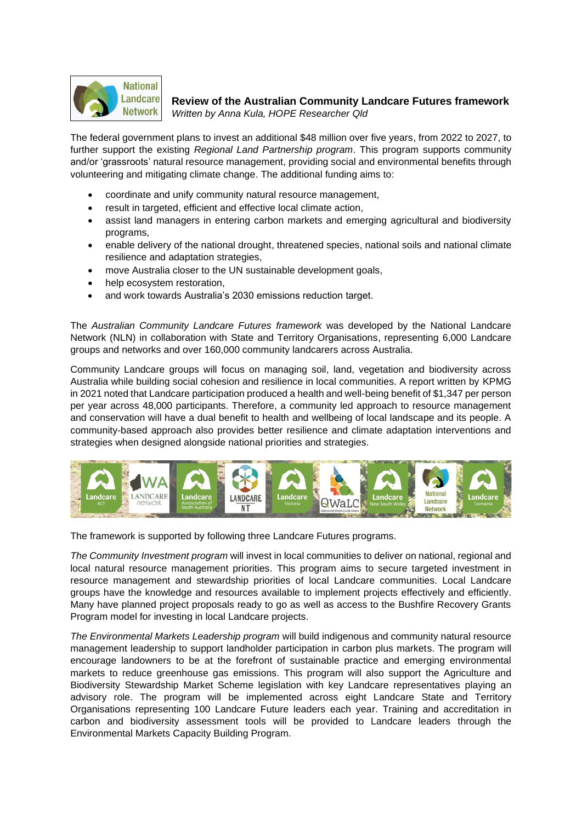

## **Review of the Australian Community Landcare Futures framework**

*Written by Anna Kula, HOPE Researcher Qld*

The federal government plans to invest an additional \$48 million over five years, from 2022 to 2027, to further support the existing *Regional Land Partnership program*. This program supports community and/or 'grassroots' natural resource management, providing social and environmental benefits through volunteering and mitigating climate change. The additional funding aims to:

- coordinate and unify community natural resource management,
- result in targeted, efficient and effective local climate action,
- assist land managers in entering carbon markets and emerging agricultural and biodiversity programs,
- enable delivery of the national drought, threatened species, national soils and national climate resilience and adaptation strategies,
- move Australia closer to the UN sustainable development goals,
- help ecosystem restoration,
- and work towards Australia's 2030 emissions reduction target.

The *Australian Community Landcare Futures framework* was developed by the National Landcare Network (NLN) in collaboration with State and Territory Organisations, representing 6,000 Landcare groups and networks and over 160,000 community landcarers across Australia.

Community Landcare groups will focus on managing soil, land, vegetation and biodiversity across Australia while building social cohesion and resilience in local communities. A report written by KPMG in 2021 noted that Landcare participation produced a health and well-being benefit of \$1,347 per person per year across 48,000 participants. Therefore, a community led approach to resource management and conservation will have a dual benefit to health and wellbeing of local landscape and its people. A community-based approach also provides better resilience and climate adaptation interventions and strategies when designed alongside national priorities and strategies.



The framework is supported by following three Landcare Futures programs.

*The Community Investment program* will invest in local communities to deliver on national, regional and local natural resource management priorities. This program aims to secure targeted investment in resource management and stewardship priorities of local Landcare communities. Local Landcare groups have the knowledge and resources available to implement projects effectively and efficiently. Many have planned project proposals ready to go as well as access to the Bushfire Recovery Grants Program model for investing in local Landcare projects.

*The Environmental Markets Leadership program* will build indigenous and community natural resource management leadership to support landholder participation in carbon plus markets. The program will encourage landowners to be at the forefront of sustainable practice and emerging environmental markets to reduce greenhouse gas emissions. This program will also support the Agriculture and Biodiversity Stewardship Market Scheme legislation with key Landcare representatives playing an advisory role. The program will be implemented across eight Landcare State and Territory Organisations representing 100 Landcare Future leaders each year. Training and accreditation in carbon and biodiversity assessment tools will be provided to Landcare leaders through the Environmental Markets Capacity Building Program.